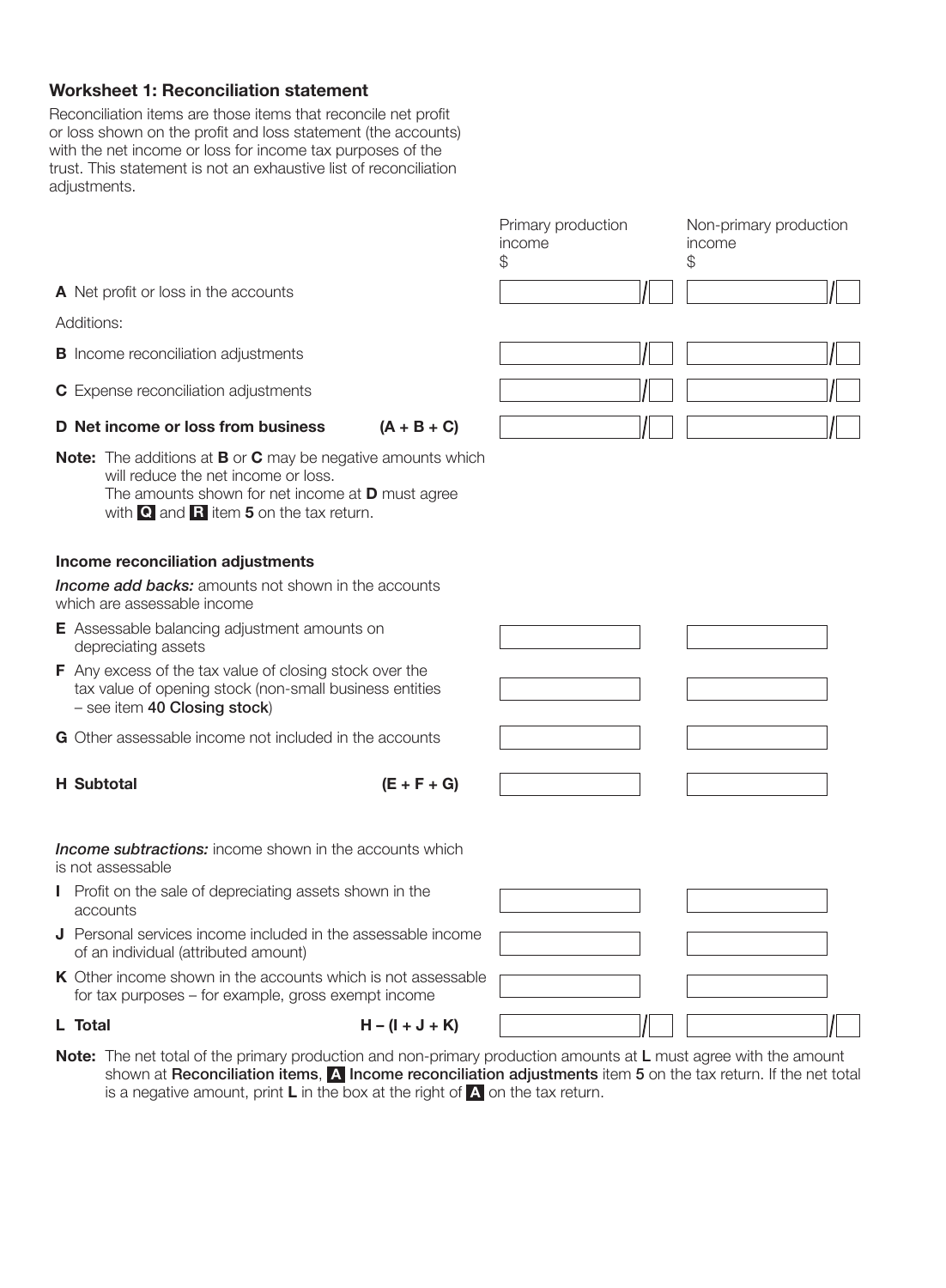## Worksheet 1: Reconciliation statement

Reconciliation items are those items that reconcile net profit or loss shown on the profit and loss statement (the accounts) with the net income or loss for income tax purposes of the trust. This statement is not an exhaustive list of reconciliation adjustments.

| Primary production<br>income<br>\$ | Non-primary production<br>income<br>\$. |
|------------------------------------|-----------------------------------------|
|                                    |                                         |
| сh                                 |                                         |

A Net profit or loss in the accounts

Additions:

- **B** Income reconciliation adjustments
- C Expense reconciliation adjustments

D Net income or loss from business  $(A + B + C)$ 

Note: The additions at **B** or **C** may be negative amounts which will reduce the net income or loss. The amounts shown for net income at **D** must agree with  $\bf{Q}$  and  $\bf{R}$  item 5 on the tax return.

## Income reconciliation adjustments

*Income add backs:* amounts not shown in the accounts which are assessable income

- E Assessable balancing adjustment amounts on depreciating assets
- F Any excess of the tax value of closing stock over the tax value of opening stock (non-small business entities – see item 40 Closing stock)
- G Other assessable income not included in the accounts

## H Subtotal  $(E + F + G)$

*Income subtractions:* income shown in the accounts which is not assessable

- I Profit on the sale of depreciating assets shown in the accounts
- J Personal services income included in the assessable income of an individual (attributed amount)
- K Other income shown in the accounts which is not assessable for tax purposes – for example, gross exempt income

- L Total  $H (I + J + K)$
- Note: The net total of the primary production and non-primary production amounts at L must agree with the amount shown at Reconciliation items, A Income reconciliation adjustments item 5 on the tax return. If the net total is a negative amount, print **L** in the box at the right of  $\Lambda$  on the tax return.